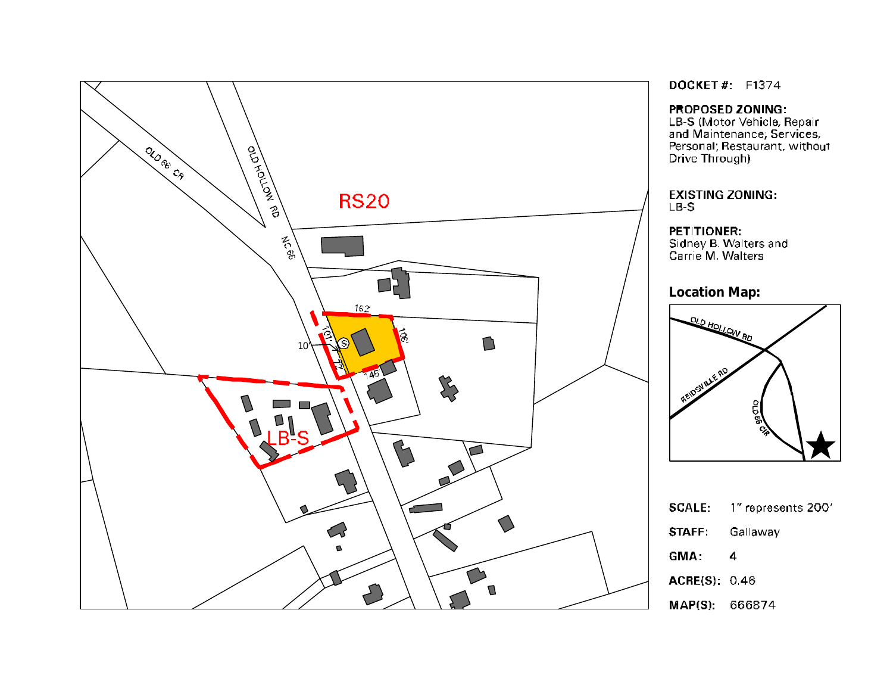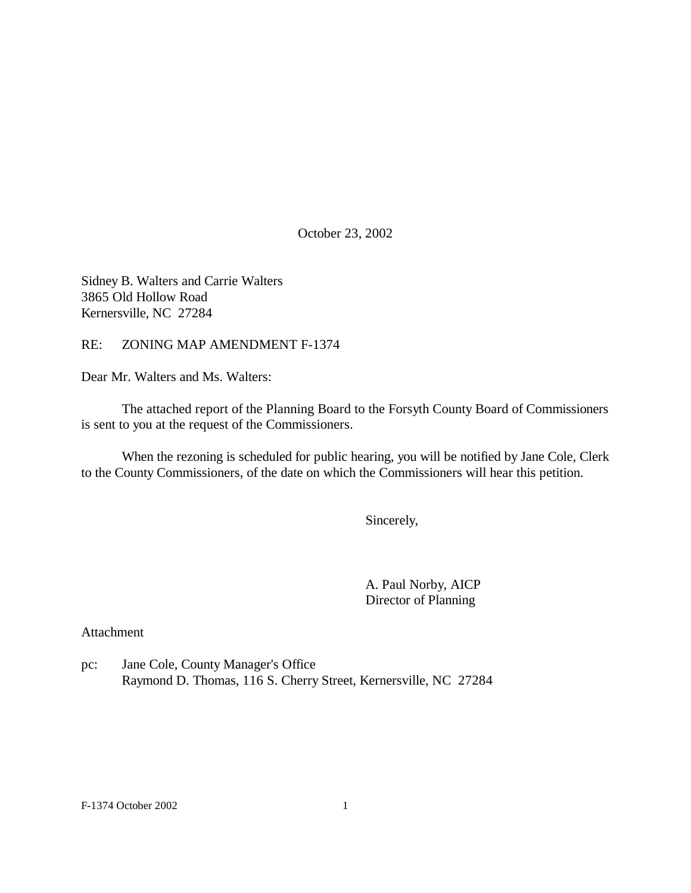October 23, 2002

Sidney B. Walters and Carrie Walters 3865 Old Hollow Road Kernersville, NC 27284

RE: ZONING MAP AMENDMENT F-1374

Dear Mr. Walters and Ms. Walters:

The attached report of the Planning Board to the Forsyth County Board of Commissioners is sent to you at the request of the Commissioners.

When the rezoning is scheduled for public hearing, you will be notified by Jane Cole, Clerk to the County Commissioners, of the date on which the Commissioners will hear this petition.

Sincerely,

A. Paul Norby, AICP Director of Planning

Attachment

pc: Jane Cole, County Manager's Office Raymond D. Thomas, 116 S. Cherry Street, Kernersville, NC 27284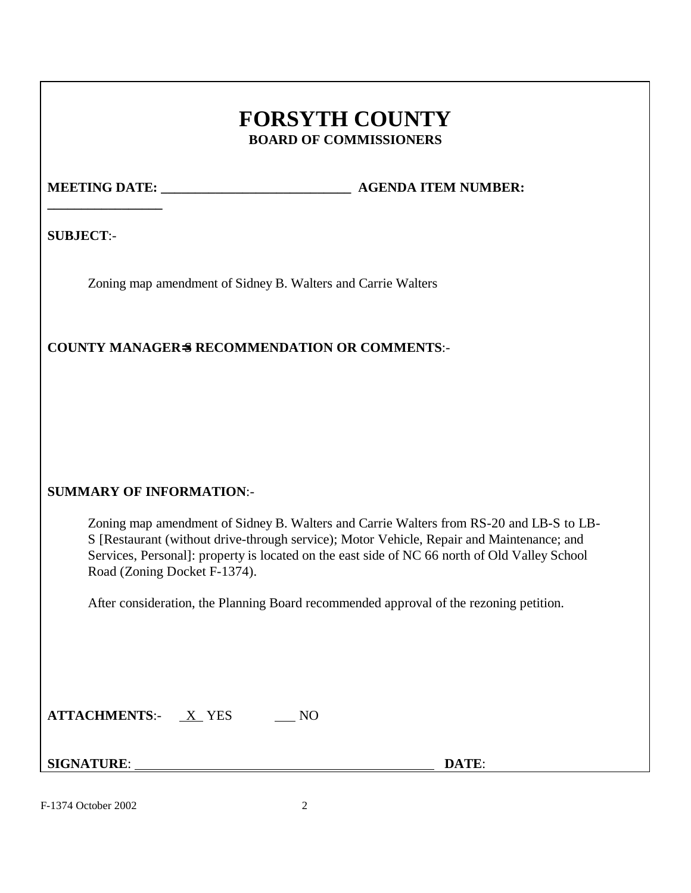# **FORSYTH COUNTY BOARD OF COMMISSIONERS**

**\_\_\_\_\_\_\_\_\_\_\_\_\_\_\_\_\_**

**MEETING DATE: \_\_\_\_\_\_\_\_\_\_\_\_\_\_\_\_\_\_\_\_\_\_\_\_\_\_\_\_ AGENDA ITEM NUMBER:** 

**SUBJECT**:-

Zoning map amendment of Sidney B. Walters and Carrie Walters

## **COUNTY MANAGER=S RECOMMENDATION OR COMMENTS**:-

## **SUMMARY OF INFORMATION**:-

Zoning map amendment of Sidney B. Walters and Carrie Walters from RS-20 and LB-S to LB-S [Restaurant (without drive-through service); Motor Vehicle, Repair and Maintenance; and Services, Personal]: property is located on the east side of NC 66 north of Old Valley School Road (Zoning Docket F-1374).

After consideration, the Planning Board recommended approval of the rezoning petition.

| <b>ATTACHMENTS:-</b> | X YES |  |
|----------------------|-------|--|
|----------------------|-------|--|

**SIGNATURE**: **DATE**:

F-1374 October 2002 2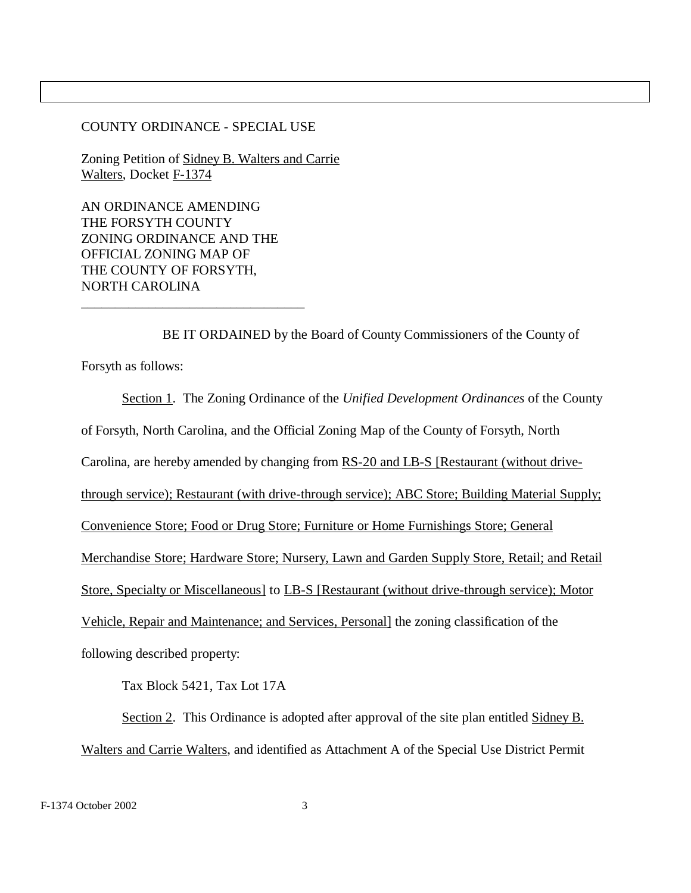#### COUNTY ORDINANCE - SPECIAL USE

Zoning Petition of Sidney B. Walters and Carrie Walters, Docket F-1374

AN ORDINANCE AMENDING THE FORSYTH COUNTY ZONING ORDINANCE AND THE OFFICIAL ZONING MAP OF THE COUNTY OF FORSYTH, NORTH CAROLINA

\_\_\_\_\_\_\_\_\_\_\_\_\_\_\_\_\_\_\_\_\_\_\_\_\_\_\_\_\_\_\_\_\_

BE IT ORDAINED by the Board of County Commissioners of the County of Forsyth as follows:

Section 1. The Zoning Ordinance of the *Unified Development Ordinances* of the County of Forsyth, North Carolina, and the Official Zoning Map of the County of Forsyth, North Carolina, are hereby amended by changing from RS-20 and LB-S [Restaurant (without drivethrough service); Restaurant (with drive-through service); ABC Store; Building Material Supply; Convenience Store; Food or Drug Store; Furniture or Home Furnishings Store; General Merchandise Store; Hardware Store; Nursery, Lawn and Garden Supply Store, Retail; and Retail Store, Specialty or Miscellaneous] to LB-S [Restaurant (without drive-through service); Motor Vehicle, Repair and Maintenance; and Services, Personal] the zoning classification of the following described property:

Tax Block 5421, Tax Lot 17A

Section 2. This Ordinance is adopted after approval of the site plan entitled Sidney B. Walters and Carrie Walters, and identified as Attachment A of the Special Use District Permit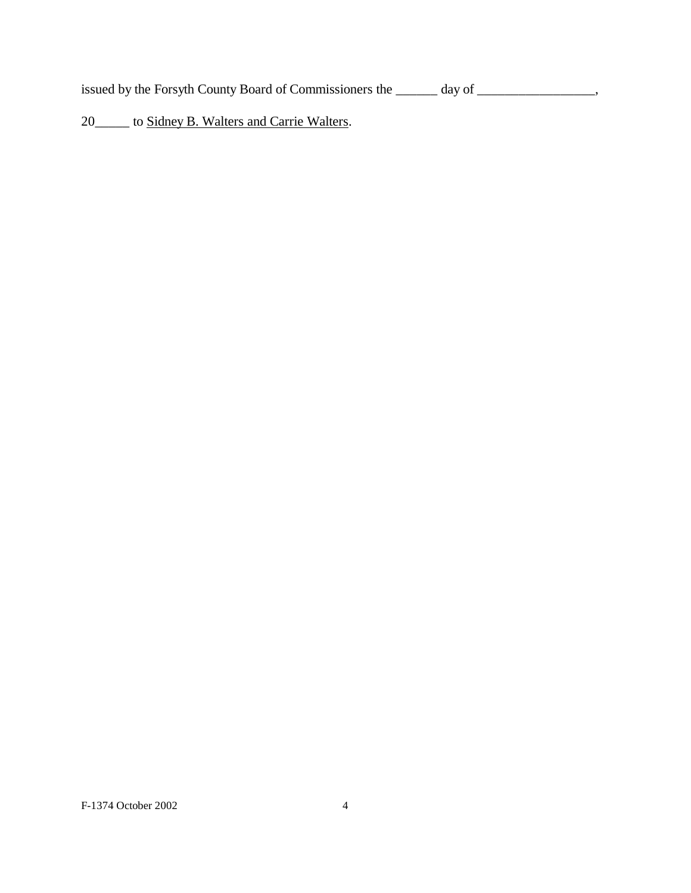issued by the Forsyth County Board of Commissioners the \_\_\_\_\_\_ day of \_\_\_\_\_\_\_\_\_\_\_\_\_\_,

20\_\_\_\_\_ to Sidney B. Walters and Carrie Walters.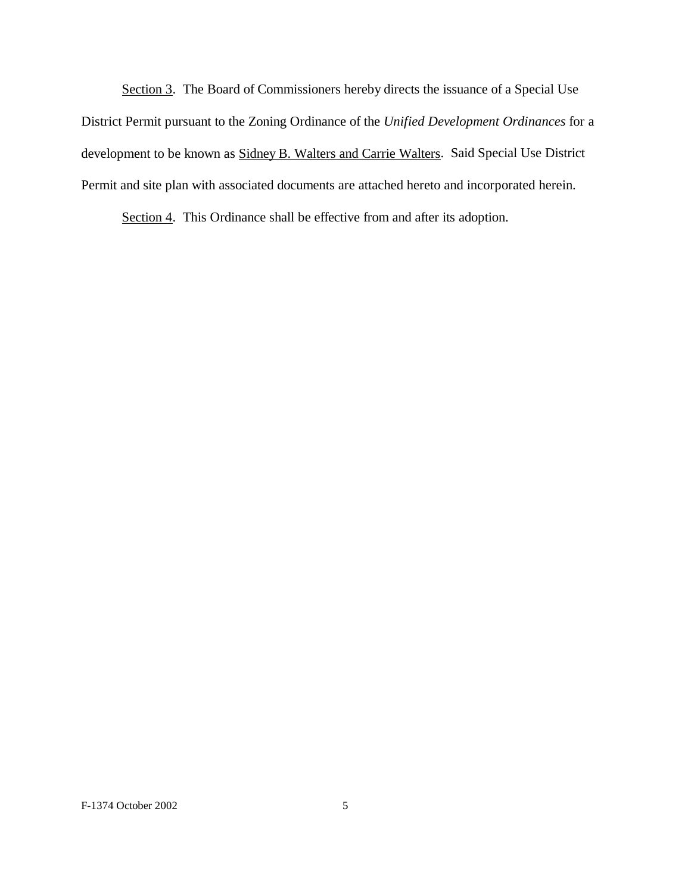Section 3. The Board of Commissioners hereby directs the issuance of a Special Use District Permit pursuant to the Zoning Ordinance of the *Unified Development Ordinances* for a development to be known as **Sidney B. Walters and Carrie Walters.** Said Special Use District Permit and site plan with associated documents are attached hereto and incorporated herein.

Section 4. This Ordinance shall be effective from and after its adoption.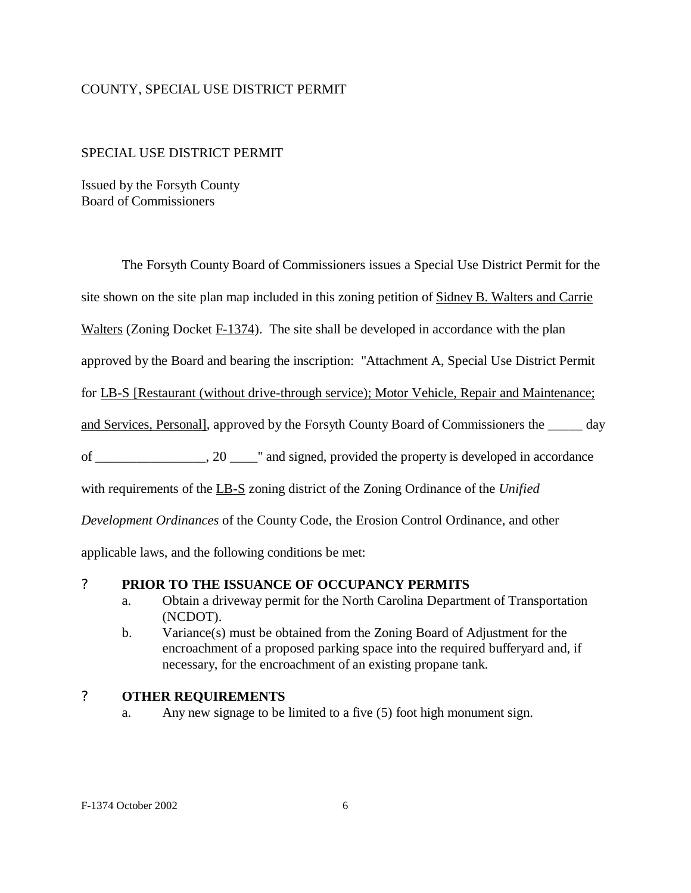#### COUNTY, SPECIAL USE DISTRICT PERMIT

#### SPECIAL USE DISTRICT PERMIT

Issued by the Forsyth County Board of Commissioners

The Forsyth County Board of Commissioners issues a Special Use District Permit for the

site shown on the site plan map included in this zoning petition of Sidney B. Walters and Carrie

Walters (Zoning Docket F-1374). The site shall be developed in accordance with the plan

approved by the Board and bearing the inscription: "Attachment A, Special Use District Permit

for LB-S [Restaurant (without drive-through service); Motor Vehicle, Repair and Maintenance;

and Services, Personal], approved by the Forsyth County Board of Commissioners the \_\_\_\_\_ day

of \_\_\_\_\_\_\_\_\_\_\_\_\_\_\_\_, 20 \_\_\_\_" and signed, provided the property is developed in accordance

with requirements of the LB-S zoning district of the Zoning Ordinance of the *Unified* 

*Development Ordinances* of the County Code, the Erosion Control Ordinance, and other

applicable laws, and the following conditions be met:

#### ? **PRIOR TO THE ISSUANCE OF OCCUPANCY PERMITS**

- a. Obtain a driveway permit for the North Carolina Department of Transportation (NCDOT).
- b. Variance(s) must be obtained from the Zoning Board of Adjustment for the encroachment of a proposed parking space into the required bufferyard and, if necessary, for the encroachment of an existing propane tank.

## ? **OTHER REQUIREMENTS**

a. Any new signage to be limited to a five (5) foot high monument sign.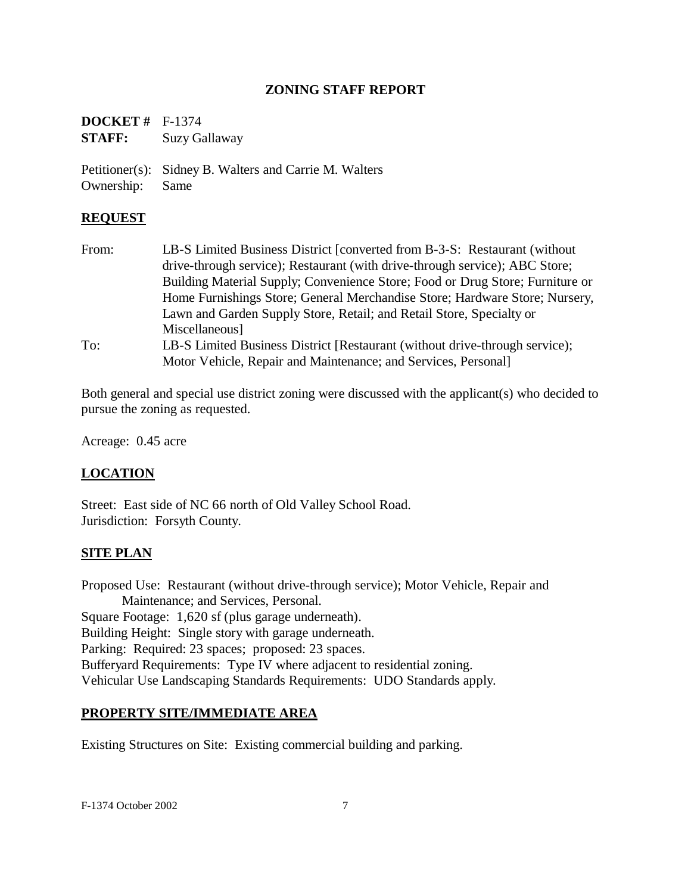#### **ZONING STAFF REPORT**

| <b>DOCKET</b> # $F-1374$ |               |
|--------------------------|---------------|
| <b>STAFF:</b>            | Suzy Gallaway |

Petitioner(s): Sidney B. Walters and Carrie M. Walters Ownership: Same

### **REQUEST**

From: LB-S Limited Business District [converted from B-3-S: Restaurant (without drive-through service); Restaurant (with drive-through service); ABC Store; Building Material Supply; Convenience Store; Food or Drug Store; Furniture or Home Furnishings Store; General Merchandise Store; Hardware Store; Nursery, Lawn and Garden Supply Store, Retail; and Retail Store, Specialty or Miscellaneous] To: LB-S Limited Business District [Restaurant (without drive-through service); Motor Vehicle, Repair and Maintenance; and Services, Personal]

Both general and special use district zoning were discussed with the applicant(s) who decided to pursue the zoning as requested.

Acreage: 0.45 acre

## **LOCATION**

Street: East side of NC 66 north of Old Valley School Road. Jurisdiction: Forsyth County.

## **SITE PLAN**

Proposed Use: Restaurant (without drive-through service); Motor Vehicle, Repair and Maintenance; and Services, Personal. Square Footage: 1,620 sf (plus garage underneath). Building Height: Single story with garage underneath. Parking: Required: 23 spaces; proposed: 23 spaces. Bufferyard Requirements: Type IV where adjacent to residential zoning. Vehicular Use Landscaping Standards Requirements: UDO Standards apply.

#### **PROPERTY SITE/IMMEDIATE AREA**

Existing Structures on Site: Existing commercial building and parking.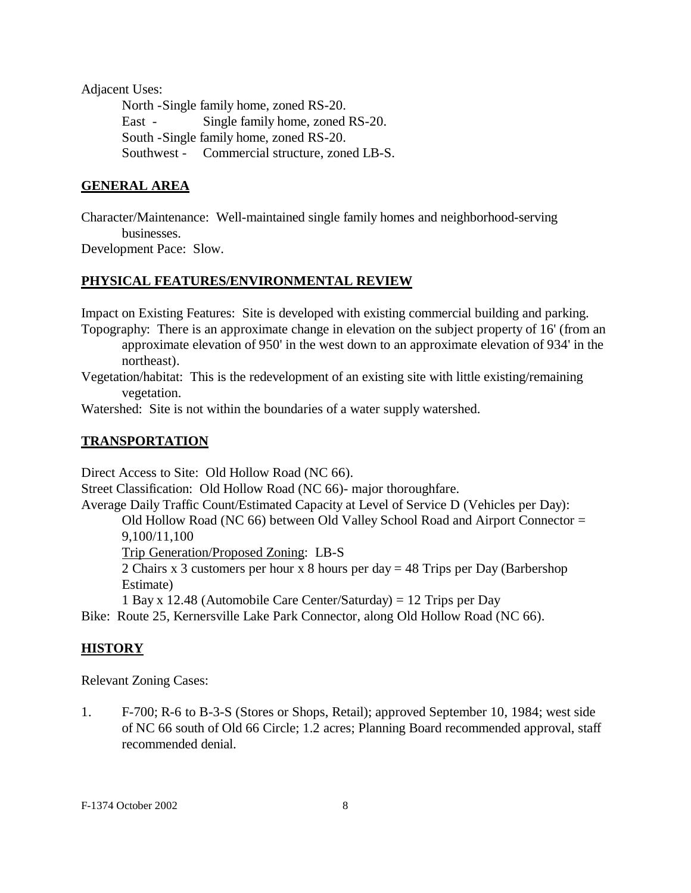Adjacent Uses:

North -Single family home, zoned RS-20. East - Single family home, zoned RS-20. South -Single family home, zoned RS-20. Southwest - Commercial structure, zoned LB-S.

## **GENERAL AREA**

Character/Maintenance: Well-maintained single family homes and neighborhood-serving businesses.

Development Pace: Slow.

## **PHYSICAL FEATURES/ENVIRONMENTAL REVIEW**

Impact on Existing Features: Site is developed with existing commercial building and parking. Topography: There is an approximate change in elevation on the subject property of 16' (from an

approximate elevation of 950' in the west down to an approximate elevation of 934' in the northeast).

Vegetation/habitat: This is the redevelopment of an existing site with little existing/remaining vegetation.

Watershed: Site is not within the boundaries of a water supply watershed.

### **TRANSPORTATION**

Direct Access to Site: Old Hollow Road (NC 66).

Street Classification: Old Hollow Road (NC 66)- major thoroughfare.

Average Daily Traffic Count/Estimated Capacity at Level of Service D (Vehicles per Day):

Old Hollow Road (NC 66) between Old Valley School Road and Airport Connector = 9,100/11,100

Trip Generation/Proposed Zoning: LB-S

2 Chairs x 3 customers per hour x 8 hours per day = 48 Trips per Day (Barbershop Estimate)

1 Bay x 12.48 (Automobile Care Center/Saturday) = 12 Trips per Day

Bike: Route 25, Kernersville Lake Park Connector, along Old Hollow Road (NC 66).

#### **HISTORY**

Relevant Zoning Cases:

1. F-700; R-6 to B-3-S (Stores or Shops, Retail); approved September 10, 1984; west side of NC 66 south of Old 66 Circle; 1.2 acres; Planning Board recommended approval, staff recommended denial.

F-1374 October 2002 8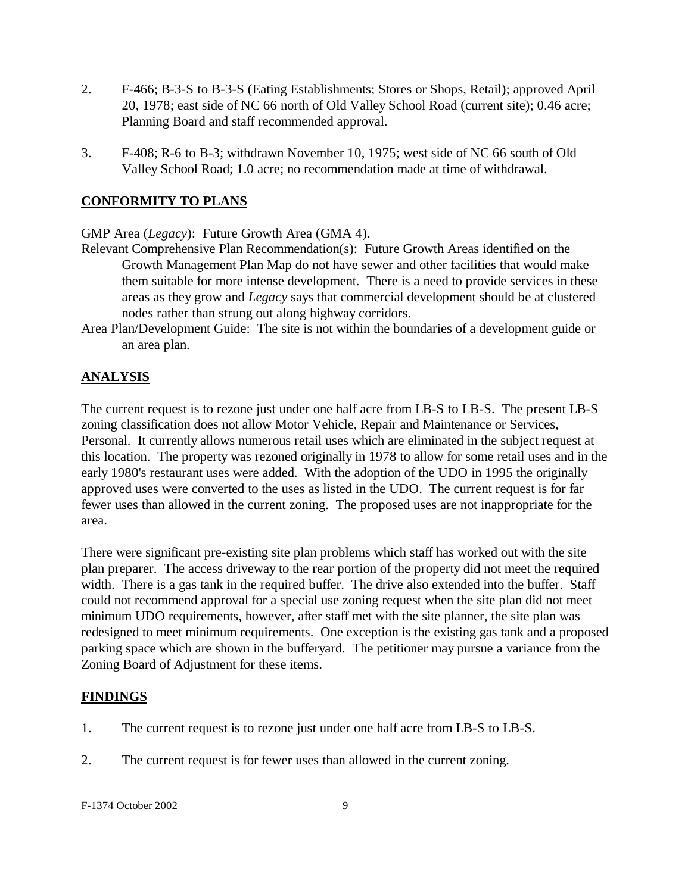- 2. F-466; B-3-S to B-3-S (Eating Establishments; Stores or Shops, Retail); approved April 20, 1978; east side of NC 66 north of Old Valley School Road (current site); 0.46 acre; Planning Board and staff recommended approval.
- 3. F-408; R-6 to B-3; withdrawn November 10, 1975; west side of NC 66 south of Old Valley School Road; 1.0 acre; no recommendation made at time of withdrawal.

## **CONFORMITY TO PLANS**

GMP Area (*Legacy*): Future Growth Area (GMA 4).

- Relevant Comprehensive Plan Recommendation(s): Future Growth Areas identified on the Growth Management Plan Map do not have sewer and other facilities that would make them suitable for more intense development. There is a need to provide services in these areas as they grow and *Legacy* says that commercial development should be at clustered nodes rather than strung out along highway corridors.
- Area Plan/Development Guide: The site is not within the boundaries of a development guide or an area plan.

## **ANALYSIS**

The current request is to rezone just under one half acre from LB-S to LB-S. The present LB-S zoning classification does not allow Motor Vehicle, Repair and Maintenance or Services, Personal. It currently allows numerous retail uses which are eliminated in the subject request at this location. The property was rezoned originally in 1978 to allow for some retail uses and in the early 1980's restaurant uses were added. With the adoption of the UDO in 1995 the originally approved uses were converted to the uses as listed in the UDO. The current request is for far fewer uses than allowed in the current zoning. The proposed uses are not inappropriate for the area.

There were significant pre-existing site plan problems which staff has worked out with the site plan preparer. The access driveway to the rear portion of the property did not meet the required width. There is a gas tank in the required buffer. The drive also extended into the buffer. Staff could not recommend approval for a special use zoning request when the site plan did not meet minimum UDO requirements, however, after staff met with the site planner, the site plan was redesigned to meet minimum requirements. One exception is the existing gas tank and a proposed parking space which are shown in the bufferyard. The petitioner may pursue a variance from the Zoning Board of Adjustment for these items.

#### **FINDINGS**

- 1. The current request is to rezone just under one half acre from LB-S to LB-S.
- 2. The current request is for fewer uses than allowed in the current zoning.

F-1374 October 2002 9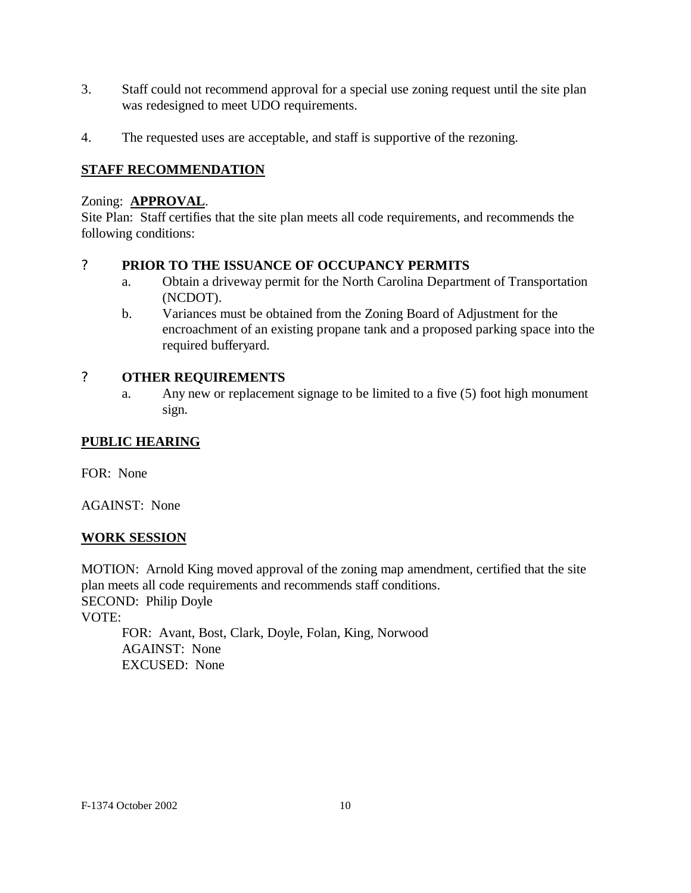- 3. Staff could not recommend approval for a special use zoning request until the site plan was redesigned to meet UDO requirements.
- 4. The requested uses are acceptable, and staff is supportive of the rezoning.

## **STAFF RECOMMENDATION**

#### Zoning: **APPROVAL**.

Site Plan: Staff certifies that the site plan meets all code requirements, and recommends the following conditions:

#### ? **PRIOR TO THE ISSUANCE OF OCCUPANCY PERMITS**

- a. Obtain a driveway permit for the North Carolina Department of Transportation (NCDOT).
- b. Variances must be obtained from the Zoning Board of Adjustment for the encroachment of an existing propane tank and a proposed parking space into the required bufferyard.

## ? **OTHER REQUIREMENTS**

a. Any new or replacement signage to be limited to a five (5) foot high monument sign.

## **PUBLIC HEARING**

FOR: None

AGAINST: None

#### **WORK SESSION**

MOTION: Arnold King moved approval of the zoning map amendment, certified that the site plan meets all code requirements and recommends staff conditions. SECOND: Philip Doyle VOTE: FOR: Avant, Bost, Clark, Doyle, Folan, King, Norwood AGAINST: None

EXCUSED: None